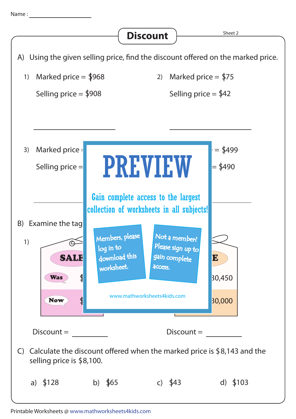